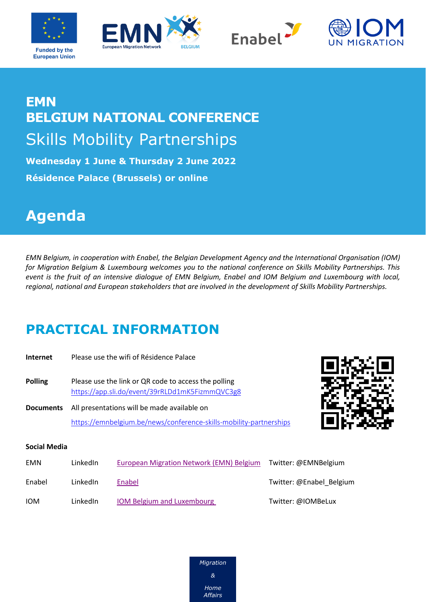







## **EMN BELGIUM NATIONAL CONFERENCE**  Skills Mobility Partnerships

**Wednesday 1 June & Thursday 2 June 2022 Résidence Palace (Brussels) or online**

## **Agenda**

*EMN Belgium, in cooperation with Enabel, the Belgian Development Agency and the International Organisation (IOM) for Migration Belgium & Luxembourg welcomes you to the national conference on Skills Mobility Partnerships. This event is the fruit of an intensive dialogue of EMN Belgium, Enabel and IOM Belgium and Luxembourg with local, regional, national and European stakeholders that are involved in the development of Skills Mobility Partnerships.* 

## **PRACTICAL INFORMATION**

| Internet            | Please use the wifi of Résidence Palace                                                                           |  |
|---------------------|-------------------------------------------------------------------------------------------------------------------|--|
| <b>Polling</b>      | Please use the link or QR code to access the polling<br>https://app.sli.do/event/39rRLDd1mK5FizmmQVC3g8           |  |
| <b>Documents</b>    | All presentations will be made available on<br>https://emnbelgium.be/news/conference-skills-mobility-partnerships |  |
| <b>Social Media</b> |                                                                                                                   |  |

| <b>EMN</b> | LinkedIn | European Migration Network (EMN) Belgium | Twitter: @EMNBelgium     |
|------------|----------|------------------------------------------|--------------------------|
| Enabel     | LinkedIn | Enabel                                   | Twitter: @Enabel Belgium |
| <b>IOM</b> | LinkedIn | <b>IOM Belgium and Luxembourg</b>        | Twitter: @IOMBeLux       |

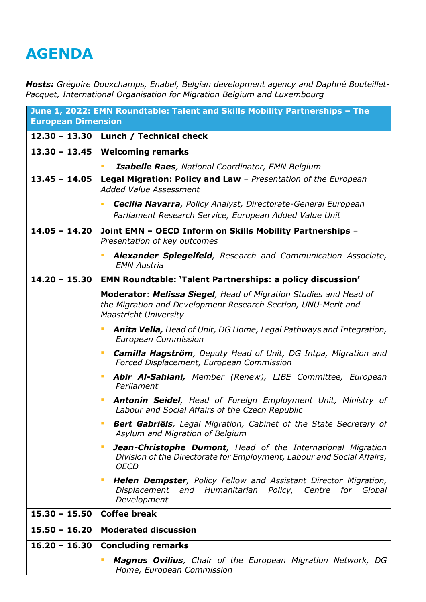## **AGENDA**

*Hosts: Grégoire Douxchamps, Enabel, Belgian development agency and Daphné Bouteillet-Pacquet, International Organisation for Migration Belgium and Luxembourg*

| <b>European Dimension</b> | June 1, 2022: EMN Roundtable: Talent and Skills Mobility Partnerships - The                                                                                       |
|---------------------------|-------------------------------------------------------------------------------------------------------------------------------------------------------------------|
| $12.30 - 13.30$           | Lunch / Technical check                                                                                                                                           |
| $13.30 - 13.45$           | <b>Welcoming remarks</b>                                                                                                                                          |
|                           | Isabelle Raes, National Coordinator, EMN Belgium<br>T.                                                                                                            |
| $13.45 - 14.05$           | Legal Migration: Policy and Law - Presentation of the European<br><b>Added Value Assessment</b>                                                                   |
|                           | <b>Cecilia Navarra</b> , Policy Analyst, Directorate-General European<br>Parliament Research Service, European Added Value Unit                                   |
| $14.05 - 14.20$           | Joint EMN - OECD Inform on Skills Mobility Partnerships -<br>Presentation of key outcomes                                                                         |
|                           | Alexander Spiegelfeld, Research and Communication Associate,<br>ш<br><b>EMN Austria</b>                                                                           |
| $14.20 - 15.30$           | <b>EMN Roundtable: 'Talent Partnerships: a policy discussion'</b>                                                                                                 |
|                           | Moderator: Melissa Siegel, Head of Migration Studies and Head of<br>the Migration and Development Research Section, UNU-Merit and<br><b>Maastricht University</b> |
|                           | <b>Anita Vella, Head of Unit, DG Home, Legal Pathways and Integration,</b><br>ш<br><b>European Commission</b>                                                     |
|                           | <b>Camilla Hagström</b> , Deputy Head of Unit, DG Intpa, Migration and<br>ш<br>Forced Displacement, European Commission                                           |
|                           | Abir Al-Sahlani, Member (Renew), LIBE Committee, European<br>ш<br>Parliament                                                                                      |
|                           | <b>Antonín Seidel</b> , Head of Foreign Employment Unit, Ministry of<br>ш<br>Labour and Social Affairs of the Czech Republic                                      |
|                           | <b>Bert Gabriëls</b> , Legal Migration, Cabinet of the State Secretary of<br>Asylum and Migration of Belgium                                                      |
|                           | <b>Jean-Christophe Dumont</b> , Head of the International Migration<br>ш<br>Division of the Directorate for Employment, Labour and Social Affairs,<br><b>OECD</b> |
|                           | <b>Helen Dempster</b> , Policy Fellow and Assistant Director Migration,<br>ш<br>Displacement and Humanitarian Policy, Centre for Global<br>Development            |
| $15.30 - 15.50$           | <b>Coffee break</b>                                                                                                                                               |
| $15.50 - 16.20$           | <b>Moderated discussion</b>                                                                                                                                       |
| $16.20 - 16.30$           | <b>Concluding remarks</b>                                                                                                                                         |
|                           | <b>Magnus Ovilius</b> , Chair of the European Migration Network, DG<br>Home, European Commission                                                                  |